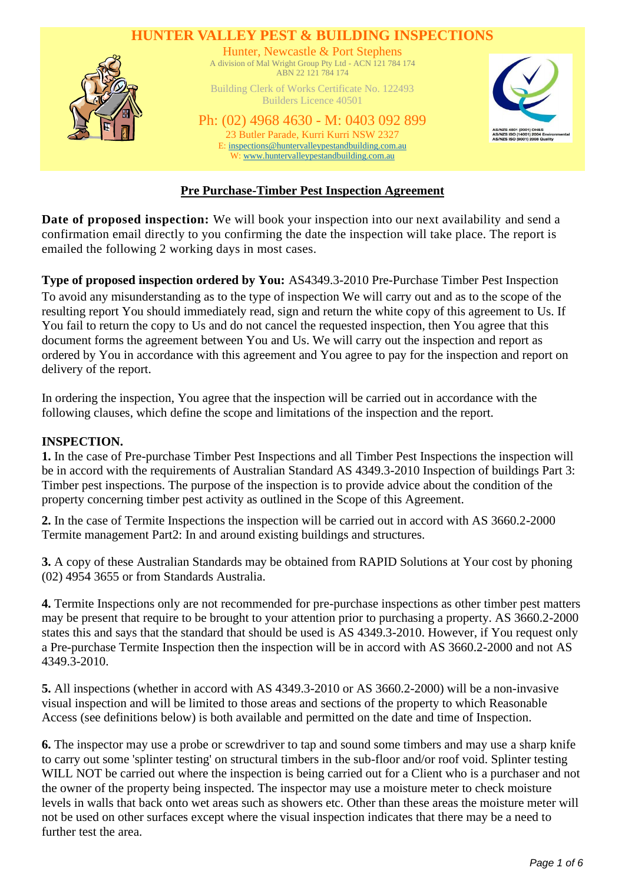

### **Pre Purchase-Timber Pest Inspection Agreement**

**Date of proposed inspection:** We will book your inspection into our next availability and send a confirmation email directly to you confirming the date the inspection will take place. The report is emailed the following 2 working days in most cases.

**Type of proposed inspection ordered by You:** AS4349.3-2010 Pre-Purchase Timber Pest Inspection To avoid any misunderstanding as to the type of inspection We will carry out and as to the scope of the resulting report You should immediately read, sign and return the white copy of this agreement to Us. If You fail to return the copy to Us and do not cancel the requested inspection, then You agree that this document forms the agreement between You and Us. We will carry out the inspection and report as ordered by You in accordance with this agreement and You agree to pay for the inspection and report on delivery of the report.

In ordering the inspection, You agree that the inspection will be carried out in accordance with the following clauses, which define the scope and limitations of the inspection and the report.

#### **INSPECTION.**

**1.** In the case of Pre-purchase Timber Pest Inspections and all Timber Pest Inspections the inspection will be in accord with the requirements of Australian Standard AS 4349.3-2010 Inspection of buildings Part 3: Timber pest inspections. The purpose of the inspection is to provide advice about the condition of the property concerning timber pest activity as outlined in the Scope of this Agreement.

**2.** In the case of Termite Inspections the inspection will be carried out in accord with AS 3660.2-2000 Termite management Part2: In and around existing buildings and structures.

**3.** A copy of these Australian Standards may be obtained from RAPID Solutions at Your cost by phoning (02) 4954 3655 or from Standards Australia.

**4.** Termite Inspections only are not recommended for pre-purchase inspections as other timber pest matters may be present that require to be brought to your attention prior to purchasing a property. AS 3660.2-2000 states this and says that the standard that should be used is AS 4349.3-2010. However, if You request only a Pre-purchase Termite Inspection then the inspection will be in accord with AS 3660.2-2000 and not AS 4349.3-2010.

**5.** All inspections (whether in accord with AS 4349.3-2010 or AS 3660.2-2000) will be a non-invasive visual inspection and will be limited to those areas and sections of the property to which Reasonable Access (see definitions below) is both available and permitted on the date and time of Inspection.

**6.** The inspector may use a probe or screwdriver to tap and sound some timbers and may use a sharp knife to carry out some 'splinter testing' on structural timbers in the sub-floor and/or roof void. Splinter testing WILL NOT be carried out where the inspection is being carried out for a Client who is a purchaser and not the owner of the property being inspected. The inspector may use a moisture meter to check moisture levels in walls that back onto wet areas such as showers etc. Other than these areas the moisture meter will not be used on other surfaces except where the visual inspection indicates that there may be a need to further test the area.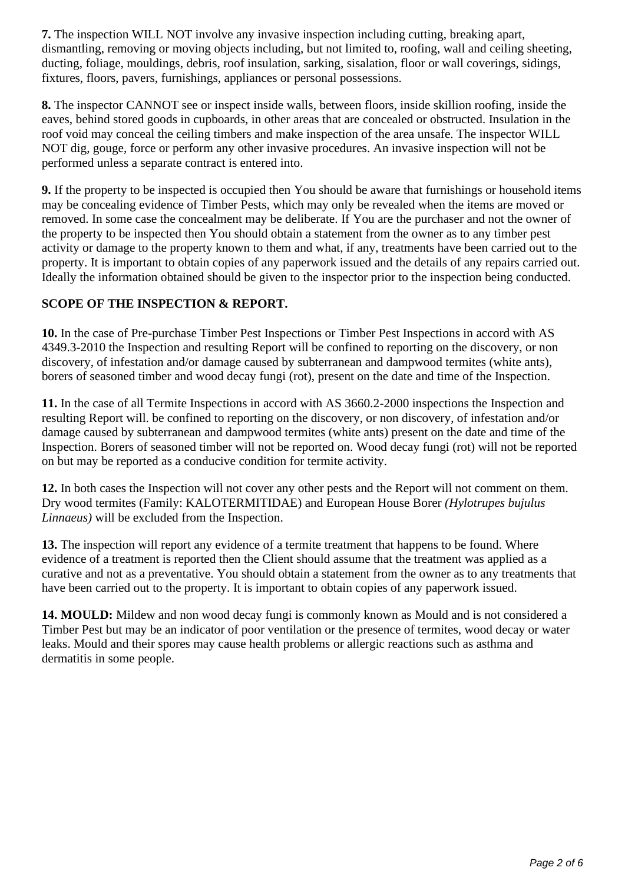**7.** The inspection WILL NOT involve any invasive inspection including cutting, breaking apart, dismantling, removing or moving objects including, but not limited to, roofing, wall and ceiling sheeting, ducting, foliage, mouldings, debris, roof insulation, sarking, sisalation, floor or wall coverings, sidings, fixtures, floors, pavers, furnishings, appliances or personal possessions.

**8.** The inspector CANNOT see or inspect inside walls, between floors, inside skillion roofing, inside the eaves, behind stored goods in cupboards, in other areas that are concealed or obstructed. Insulation in the roof void may conceal the ceiling timbers and make inspection of the area unsafe. The inspector WILL NOT dig, gouge, force or perform any other invasive procedures. An invasive inspection will not be performed unless a separate contract is entered into.

**9.** If the property to be inspected is occupied then You should be aware that furnishings or household items may be concealing evidence of Timber Pests, which may only be revealed when the items are moved or removed. In some case the concealment may be deliberate. If You are the purchaser and not the owner of the property to be inspected then You should obtain a statement from the owner as to any timber pest activity or damage to the property known to them and what, if any, treatments have been carried out to the property. It is important to obtain copies of any paperwork issued and the details of any repairs carried out. Ideally the information obtained should be given to the inspector prior to the inspection being conducted.

## **SCOPE OF THE INSPECTION & REPORT.**

**10.** In the case of Pre-purchase Timber Pest Inspections or Timber Pest Inspections in accord with AS 4349.3-2010 the Inspection and resulting Report will be confined to reporting on the discovery, or non discovery, of infestation and/or damage caused by subterranean and dampwood termites (white ants), borers of seasoned timber and wood decay fungi (rot), present on the date and time of the Inspection.

**11.** In the case of all Termite Inspections in accord with AS 3660.2-2000 inspections the Inspection and resulting Report will. be confined to reporting on the discovery, or non discovery, of infestation and/or damage caused by subterranean and dampwood termites (white ants) present on the date and time of the Inspection. Borers of seasoned timber will not be reported on. Wood decay fungi (rot) will not be reported on but may be reported as a conducive condition for termite activity.

**12.** In both cases the Inspection will not cover any other pests and the Report will not comment on them. Dry wood termites (Family: KALOTERMITIDAE) and European House Borer *(Hylotrupes bujulus Linnaeus)* will be excluded from the Inspection.

**13.** The inspection will report any evidence of a termite treatment that happens to be found. Where evidence of a treatment is reported then the Client should assume that the treatment was applied as a curative and not as a preventative. You should obtain a statement from the owner as to any treatments that have been carried out to the property. It is important to obtain copies of any paperwork issued.

**14. MOULD:** Mildew and non wood decay fungi is commonly known as Mould and is not considered a Timber Pest but may be an indicator of poor ventilation or the presence of termites, wood decay or water leaks. Mould and their spores may cause health problems or allergic reactions such as asthma and dermatitis in some people.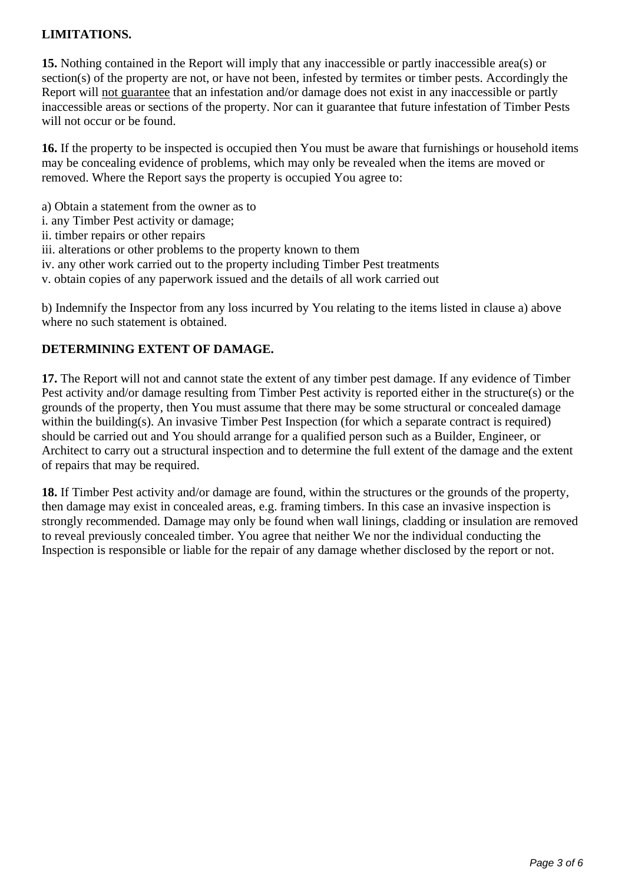# **LIMITATIONS.**

**15.** Nothing contained in the Report will imply that any inaccessible or partly inaccessible area(s) or section(s) of the property are not, or have not been, infested by termites or timber pests. Accordingly the Report will not guarantee that an infestation and/or damage does not exist in any inaccessible or partly inaccessible areas or sections of the property. Nor can it guarantee that future infestation of Timber Pests will not occur or be found.

**16.** If the property to be inspected is occupied then You must be aware that furnishings or household items may be concealing evidence of problems, which may only be revealed when the items are moved or removed. Where the Report says the property is occupied You agree to:

- a) Obtain a statement from the owner as to
- i. any Timber Pest activity or damage;
- ii. timber repairs or other repairs
- iii. alterations or other problems to the property known to them
- iv. any other work carried out to the property including Timber Pest treatments
- v. obtain copies of any paperwork issued and the details of all work carried out

b) Indemnify the Inspector from any loss incurred by You relating to the items listed in clause a) above where no such statement is obtained.

### **DETERMINING EXTENT OF DAMAGE.**

**17.** The Report will not and cannot state the extent of any timber pest damage. If any evidence of Timber Pest activity and/or damage resulting from Timber Pest activity is reported either in the structure(s) or the grounds of the property, then You must assume that there may be some structural or concealed damage within the building(s). An invasive Timber Pest Inspection (for which a separate contract is required) should be carried out and You should arrange for a qualified person such as a Builder, Engineer, or Architect to carry out a structural inspection and to determine the full extent of the damage and the extent of repairs that may be required.

**18.** If Timber Pest activity and/or damage are found, within the structures or the grounds of the property, then damage may exist in concealed areas, e.g. framing timbers. In this case an invasive inspection is strongly recommended. Damage may only be found when wall linings, cladding or insulation are removed to reveal previously concealed timber. You agree that neither We nor the individual conducting the Inspection is responsible or liable for the repair of any damage whether disclosed by the report or not.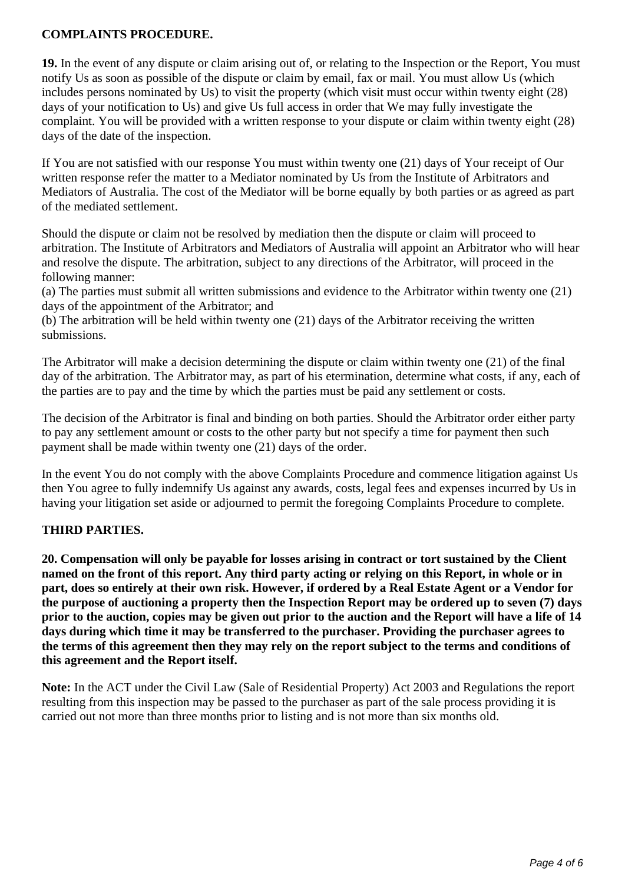## **COMPLAINTS PROCEDURE.**

**19.** In the event of any dispute or claim arising out of, or relating to the Inspection or the Report, You must notify Us as soon as possible of the dispute or claim by email, fax or mail. You must allow Us (which includes persons nominated by Us) to visit the property (which visit must occur within twenty eight (28) days of your notification to Us) and give Us full access in order that We may fully investigate the complaint. You will be provided with a written response to your dispute or claim within twenty eight (28) days of the date of the inspection.

If You are not satisfied with our response You must within twenty one (21) days of Your receipt of Our written response refer the matter to a Mediator nominated by Us from the Institute of Arbitrators and Mediators of Australia. The cost of the Mediator will be borne equally by both parties or as agreed as part of the mediated settlement.

Should the dispute or claim not be resolved by mediation then the dispute or claim will proceed to arbitration. The Institute of Arbitrators and Mediators of Australia will appoint an Arbitrator who will hear and resolve the dispute. The arbitration, subject to any directions of the Arbitrator, will proceed in the following manner:

(a) The parties must submit all written submissions and evidence to the Arbitrator within twenty one (21) days of the appointment of the Arbitrator; and

(b) The arbitration will be held within twenty one (21) days of the Arbitrator receiving the written submissions.

The Arbitrator will make a decision determining the dispute or claim within twenty one (21) of the final day of the arbitration. The Arbitrator may, as part of his etermination, determine what costs, if any, each of the parties are to pay and the time by which the parties must be paid any settlement or costs.

The decision of the Arbitrator is final and binding on both parties. Should the Arbitrator order either party to pay any settlement amount or costs to the other party but not specify a time for payment then such payment shall be made within twenty one (21) days of the order.

In the event You do not comply with the above Complaints Procedure and commence litigation against Us then You agree to fully indemnify Us against any awards, costs, legal fees and expenses incurred by Us in having your litigation set aside or adjourned to permit the foregoing Complaints Procedure to complete.

### **THIRD PARTIES.**

**20. Compensation will only be payable for losses arising in contract or tort sustained by the Client named on the front of this report. Any third party acting or relying on this Report, in whole or in part, does so entirely at their own risk. However, if ordered by a Real Estate Agent or a Vendor for the purpose of auctioning a property then the Inspection Report may be ordered up to seven (7) days prior to the auction, copies may be given out prior to the auction and the Report will have a life of 14 days during which time it may be transferred to the purchaser. Providing the purchaser agrees to the terms of this agreement then they may rely on the report subject to the terms and conditions of this agreement and the Report itself.** 

**Note:** In the ACT under the Civil Law (Sale of Residential Property) Act 2003 and Regulations the report resulting from this inspection may be passed to the purchaser as part of the sale process providing it is carried out not more than three months prior to listing and is not more than six months old.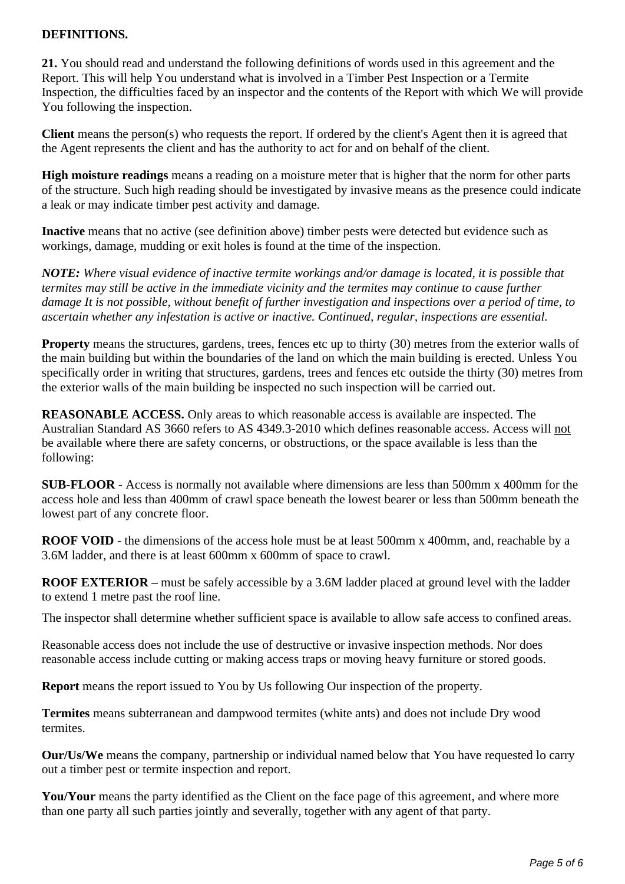### **DEFINITIONS.**

**21.** You should read and understand the following definitions of words used in this agreement and the Report. This will help You understand what is involved in a Timber Pest Inspection or a Termite Inspection, the difficulties faced by an inspector and the contents of the Report with which We will provide You following the inspection.

**Client** means the person(s) who requests the report. If ordered by the client's Agent then it is agreed that the Agent represents the client and has the authority to act for and on behalf of the client.

**High moisture readings** means a reading on a moisture meter that is higher that the norm for other parts of the structure. Such high reading should be investigated by invasive means as the presence could indicate a leak or may indicate timber pest activity and damage.

**Inactive** means that no active (see definition above) timber pests were detected but evidence such as workings, damage, mudding or exit holes is found at the time of the inspection.

*NOTE: Where visual evidence of inactive termite workings and/or damage is located, it is possible that termites may still be active in the immediate vicinity and the termites may continue to cause further damage It is not possible, without benefit of further investigation and inspections over a period of time, to ascertain whether any infestation is active or inactive. Continued, regular, inspections are essential.*

**Property** means the structures, gardens, trees, fences etc up to thirty (30) metres from the exterior walls of the main building but within the boundaries of the land on which the main building is erected. Unless You specifically order in writing that structures, gardens, trees and fences etc outside the thirty (30) metres from the exterior walls of the main building be inspected no such inspection will be carried out.

**REASONABLE ACCESS.** Only areas to which reasonable access is available are inspected. The Australian Standard AS 3660 refers to AS 4349.3-2010 which defines reasonable access. Access will not be available where there are safety concerns, or obstructions, or the space available is less than the following:

**SUB-FLOOR** - Access is normally not available where dimensions are less than 500mm x 400mm for the access hole and less than 400mm of crawl space beneath the lowest bearer or less than 500mm beneath the lowest part of any concrete floor.

**ROOF VOID** - the dimensions of the access hole must be at least 500mm x 400mm, and, reachable by a 3.6M ladder, and there is at least 600mm x 600mm of space to crawl.

**ROOF EXTERIOR –** must be safely accessible by a 3.6M ladder placed at ground level with the ladder to extend 1 metre past the roof line.

The inspector shall determine whether sufficient space is available to allow safe access to confined areas.

Reasonable access does not include the use of destructive or invasive inspection methods. Nor does reasonable access include cutting or making access traps or moving heavy furniture or stored goods.

**Report** means the report issued to You by Us following Our inspection of the property.

**Termites** means subterranean and dampwood termites (white ants) and does not include Dry wood termites.

**Our/Us/We** means the company, partnership or individual named below that You have requested lo carry out a timber pest or termite inspection and report.

You/Your means the party identified as the Client on the face page of this agreement, and where more than one party all such parties jointly and severally, together with any agent of that party.